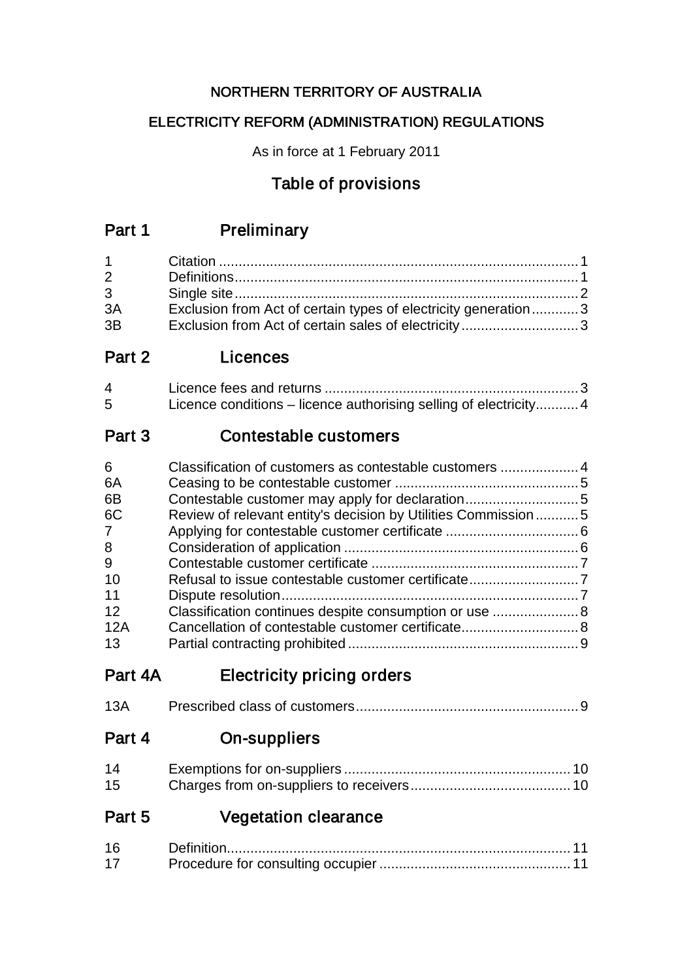## NORTHERN TERRITORY OF AUSTRALIA

## ELECTRICITY REFORM (ADMINISTRATION) REGULATIONS

As in force at 1 February 2011

# Table of provisions

# Part 1 Preliminary

| $2 \left( \frac{1}{2} \right)$ |                                                                |  |
|--------------------------------|----------------------------------------------------------------|--|
| $3^{\circ}$                    |                                                                |  |
| 3A                             | Exclusion from Act of certain types of electricity generation3 |  |
| 3B                             | Exclusion from Act of certain sales of electricity3            |  |

## Part 2 Licences

| $\overline{A}$  |                                                                   |
|-----------------|-------------------------------------------------------------------|
| $5\overline{)}$ | Licence conditions – licence authorising selling of electricity 4 |

## Part 3 Contestable customers

| 6                                                                   |  |
|---------------------------------------------------------------------|--|
| 6A                                                                  |  |
| 6B                                                                  |  |
| 6C<br>Review of relevant entity's decision by Utilities Commission5 |  |
| $7^{\circ}$                                                         |  |
| 8                                                                   |  |
| 9                                                                   |  |
| 10                                                                  |  |
| 11                                                                  |  |
| 12<br>Classification continues despite consumption or use  8        |  |
| Cancellation of contestable customer certificate 8<br>12A           |  |
| 13                                                                  |  |

# Part 4A Electricity pricing orders

| 13A |  |
|-----|--|
|-----|--|

Part 4 On-suppliers

| 14 |  |
|----|--|
| 15 |  |

# Part 5 Vegetation clearance

| 16              |  |  |
|-----------------|--|--|
| 17 <sup>2</sup> |  |  |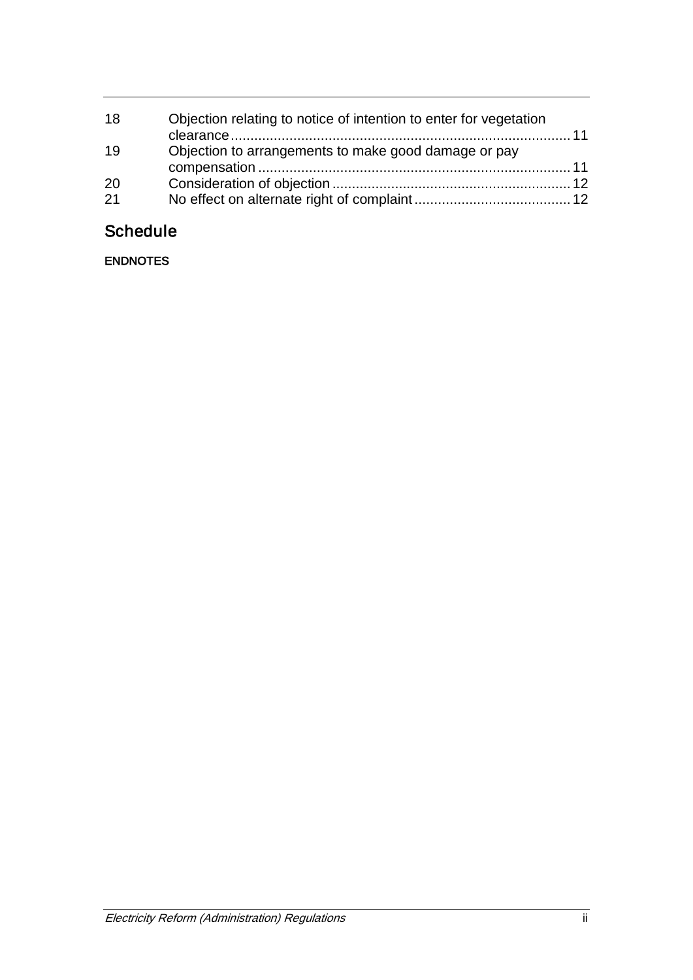| 18 | Objection relating to notice of intention to enter for vegetation |  |
|----|-------------------------------------------------------------------|--|
| 19 | Objection to arrangements to make good damage or pay              |  |
| 20 |                                                                   |  |
| 21 |                                                                   |  |

# **Schedule**

ENDNOTES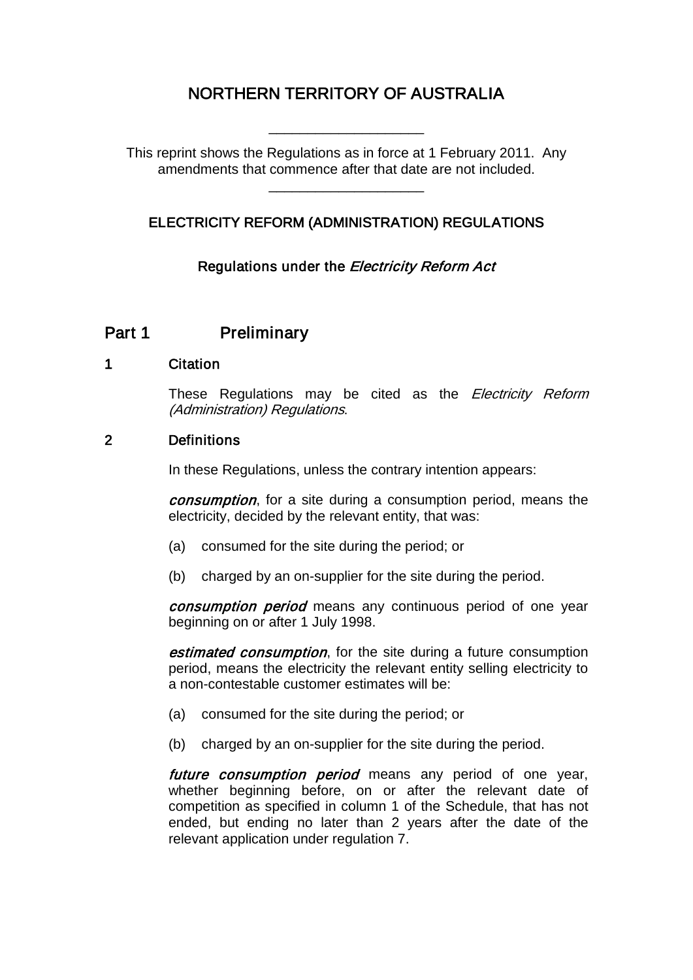# NORTHERN TERRITORY OF AUSTRALIA

This reprint shows the Regulations as in force at 1 February 2011. Any amendments that commence after that date are not included.

\_\_\_\_\_\_\_\_\_\_\_\_\_\_\_\_\_\_\_\_

\_\_\_\_\_\_\_\_\_\_\_\_\_\_\_\_\_\_\_\_

## ELECTRICITY REFORM (ADMINISTRATION) REGULATIONS

Regulations under the *Electricity Reform Act* 

## Part 1 Preliminary

#### 1 Citation

These Regulations may be cited as the Electricity Reform (Administration) Regulations.

## 2 Definitions

In these Regulations, unless the contrary intention appears:

*consumption*, for a site during a consumption period, means the electricity, decided by the relevant entity, that was:

- (a) consumed for the site during the period; or
- (b) charged by an on-supplier for the site during the period.

consumption period means any continuous period of one year beginning on or after 1 July 1998.

**estimated consumption**, for the site during a future consumption period, means the electricity the relevant entity selling electricity to a non-contestable customer estimates will be:

- (a) consumed for the site during the period; or
- (b) charged by an on-supplier for the site during the period.

future consumption period means any period of one year, whether beginning before, on or after the relevant date of competition as specified in column 1 of the Schedule, that has not ended, but ending no later than 2 years after the date of the relevant application under regulation 7.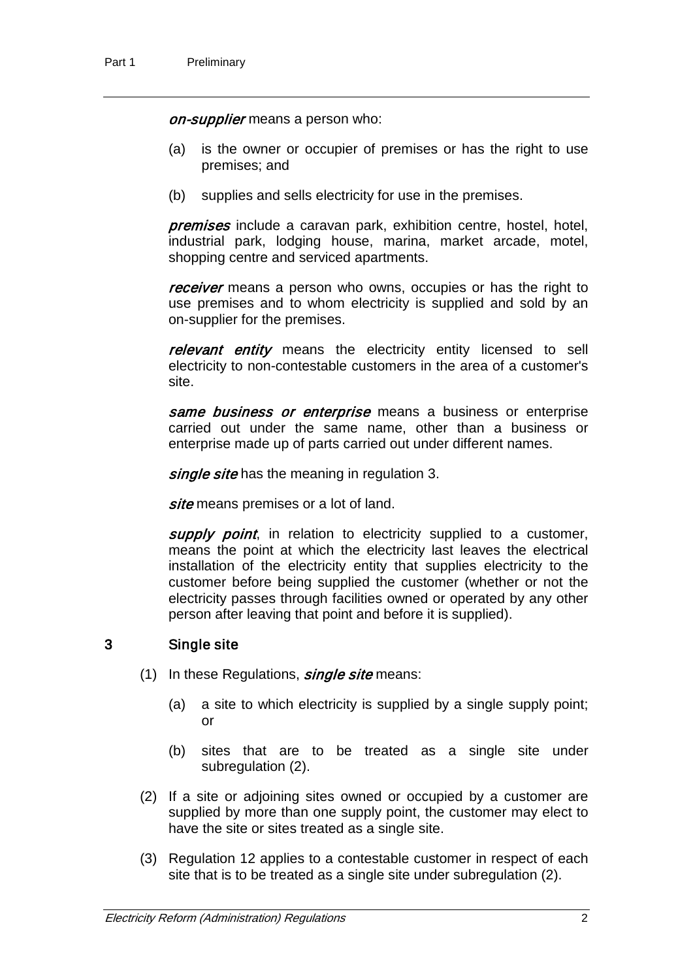on-supplier means a person who:

- (a) is the owner or occupier of premises or has the right to use premises; and
- (b) supplies and sells electricity for use in the premises.

**premises** include a caravan park, exhibition centre, hostel, hotel, industrial park, lodging house, marina, market arcade, motel, shopping centre and serviced apartments.

receiver means a person who owns, occupies or has the right to use premises and to whom electricity is supplied and sold by an on-supplier for the premises.

relevant entity means the electricity entity licensed to sell electricity to non-contestable customers in the area of a customer's site.

same business or enterprise means a business or enterprise carried out under the same name, other than a business or enterprise made up of parts carried out under different names.

single site has the meaning in regulation 3.

site means premises or a lot of land.

supply point, in relation to electricity supplied to a customer, means the point at which the electricity last leaves the electrical installation of the electricity entity that supplies electricity to the customer before being supplied the customer (whether or not the electricity passes through facilities owned or operated by any other person after leaving that point and before it is supplied).

## 3 Single site

- (1) In these Regulations,  $single\, site$  means:
	- (a) a site to which electricity is supplied by a single supply point; or
	- (b) sites that are to be treated as a single site under subregulation (2).
- (2) If a site or adjoining sites owned or occupied by a customer are supplied by more than one supply point, the customer may elect to have the site or sites treated as a single site.
- (3) Regulation 12 applies to a contestable customer in respect of each site that is to be treated as a single site under subregulation (2).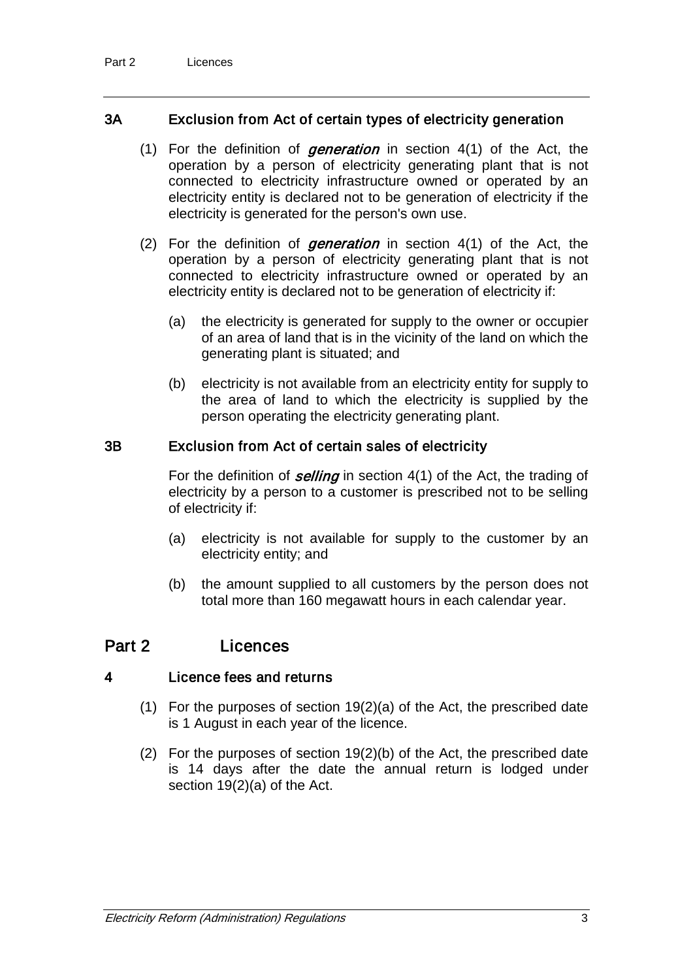## 3A Exclusion from Act of certain types of electricity generation

- (1) For the definition of *generation* in section  $4(1)$  of the Act, the operation by a person of electricity generating plant that is not connected to electricity infrastructure owned or operated by an electricity entity is declared not to be generation of electricity if the electricity is generated for the person's own use.
- (2) For the definition of *generation* in section  $4(1)$  of the Act, the operation by a person of electricity generating plant that is not connected to electricity infrastructure owned or operated by an electricity entity is declared not to be generation of electricity if:
	- (a) the electricity is generated for supply to the owner or occupier of an area of land that is in the vicinity of the land on which the generating plant is situated; and
	- (b) electricity is not available from an electricity entity for supply to the area of land to which the electricity is supplied by the person operating the electricity generating plant.

## 3B Exclusion from Act of certain sales of electricity

For the definition of *selling* in section  $4(1)$  of the Act, the trading of electricity by a person to a customer is prescribed not to be selling of electricity if:

- (a) electricity is not available for supply to the customer by an electricity entity; and
- (b) the amount supplied to all customers by the person does not total more than 160 megawatt hours in each calendar year.

## Part 2 Licences

### 4 Licence fees and returns

- (1) For the purposes of section 19(2)(a) of the Act, the prescribed date is 1 August in each year of the licence.
- (2) For the purposes of section 19(2)(b) of the Act, the prescribed date is 14 days after the date the annual return is lodged under section 19(2)(a) of the Act.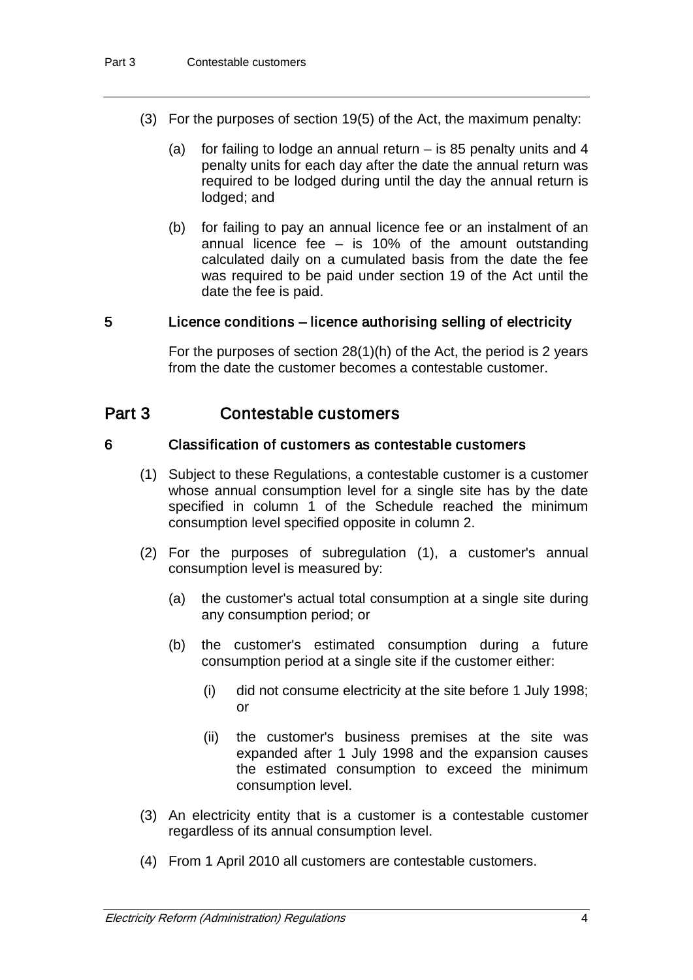- (3) For the purposes of section 19(5) of the Act, the maximum penalty:
	- (a) for failing to lodge an annual return is 85 penalty units and 4 penalty units for each day after the date the annual return was required to be lodged during until the day the annual return is lodged; and
	- (b) for failing to pay an annual licence fee or an instalment of an annual licence fee  $-$  is 10% of the amount outstanding calculated daily on a cumulated basis from the date the fee was required to be paid under section 19 of the Act until the date the fee is paid.

### 5 Licence conditions – licence authorising selling of electricity

For the purposes of section 28(1)(h) of the Act, the period is 2 years from the date the customer becomes a contestable customer.

## Part 3 Contestable customers

### 6 Classification of customers as contestable customers

- (1) Subject to these Regulations, a contestable customer is a customer whose annual consumption level for a single site has by the date specified in column 1 of the Schedule reached the minimum consumption level specified opposite in column 2.
- (2) For the purposes of subregulation (1), a customer's annual consumption level is measured by:
	- (a) the customer's actual total consumption at a single site during any consumption period; or
	- (b) the customer's estimated consumption during a future consumption period at a single site if the customer either:
		- (i) did not consume electricity at the site before 1 July 1998; or
		- (ii) the customer's business premises at the site was expanded after 1 July 1998 and the expansion causes the estimated consumption to exceed the minimum consumption level.
- (3) An electricity entity that is a customer is a contestable customer regardless of its annual consumption level.
- (4) From 1 April 2010 all customers are contestable customers.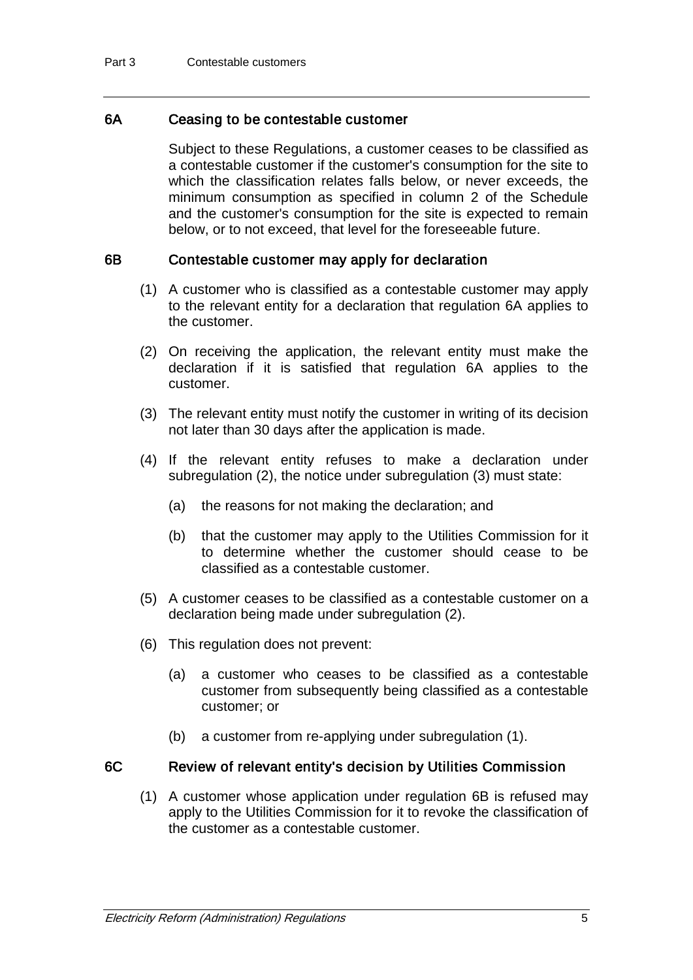## 6A Ceasing to be contestable customer

Subject to these Regulations, a customer ceases to be classified as a contestable customer if the customer's consumption for the site to which the classification relates falls below, or never exceeds, the minimum consumption as specified in column 2 of the Schedule and the customer's consumption for the site is expected to remain below, or to not exceed, that level for the foreseeable future.

### 6B Contestable customer may apply for declaration

- (1) A customer who is classified as a contestable customer may apply to the relevant entity for a declaration that regulation 6A applies to the customer.
- (2) On receiving the application, the relevant entity must make the declaration if it is satisfied that regulation 6A applies to the customer.
- (3) The relevant entity must notify the customer in writing of its decision not later than 30 days after the application is made.
- (4) If the relevant entity refuses to make a declaration under subregulation (2), the notice under subregulation (3) must state:
	- (a) the reasons for not making the declaration; and
	- (b) that the customer may apply to the Utilities Commission for it to determine whether the customer should cease to be classified as a contestable customer.
- (5) A customer ceases to be classified as a contestable customer on a declaration being made under subregulation (2).
- (6) This regulation does not prevent:
	- (a) a customer who ceases to be classified as a contestable customer from subsequently being classified as a contestable customer; or
	- (b) a customer from re-applying under subregulation (1).

### 6C Review of relevant entity's decision by Utilities Commission

 (1) A customer whose application under regulation 6B is refused may apply to the Utilities Commission for it to revoke the classification of the customer as a contestable customer.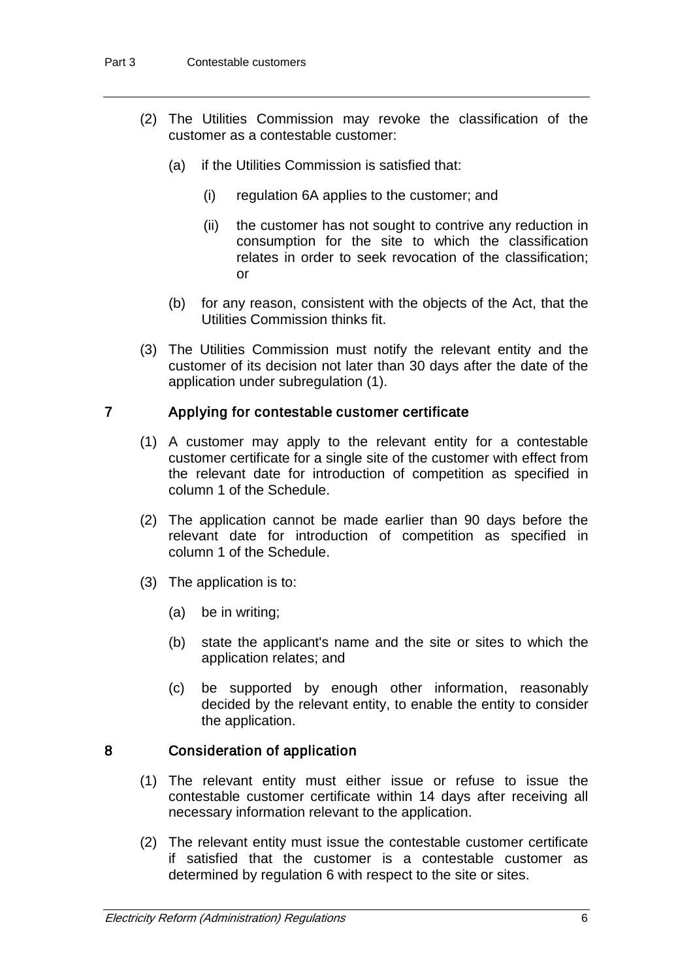- (2) The Utilities Commission may revoke the classification of the customer as a contestable customer:
	- (a) if the Utilities Commission is satisfied that:
		- (i) regulation 6A applies to the customer; and
		- (ii) the customer has not sought to contrive any reduction in consumption for the site to which the classification relates in order to seek revocation of the classification; or
	- (b) for any reason, consistent with the objects of the Act, that the Utilities Commission thinks fit.
- (3) The Utilities Commission must notify the relevant entity and the customer of its decision not later than 30 days after the date of the application under subregulation (1).

## 7 Applying for contestable customer certificate

- (1) A customer may apply to the relevant entity for a contestable customer certificate for a single site of the customer with effect from the relevant date for introduction of competition as specified in column 1 of the Schedule.
- (2) The application cannot be made earlier than 90 days before the relevant date for introduction of competition as specified in column 1 of the Schedule.
- (3) The application is to:
	- (a) be in writing;
	- (b) state the applicant's name and the site or sites to which the application relates; and
	- (c) be supported by enough other information, reasonably decided by the relevant entity, to enable the entity to consider the application.

## 8 Consideration of application

- (1) The relevant entity must either issue or refuse to issue the contestable customer certificate within 14 days after receiving all necessary information relevant to the application.
- (2) The relevant entity must issue the contestable customer certificate if satisfied that the customer is a contestable customer as determined by regulation 6 with respect to the site or sites.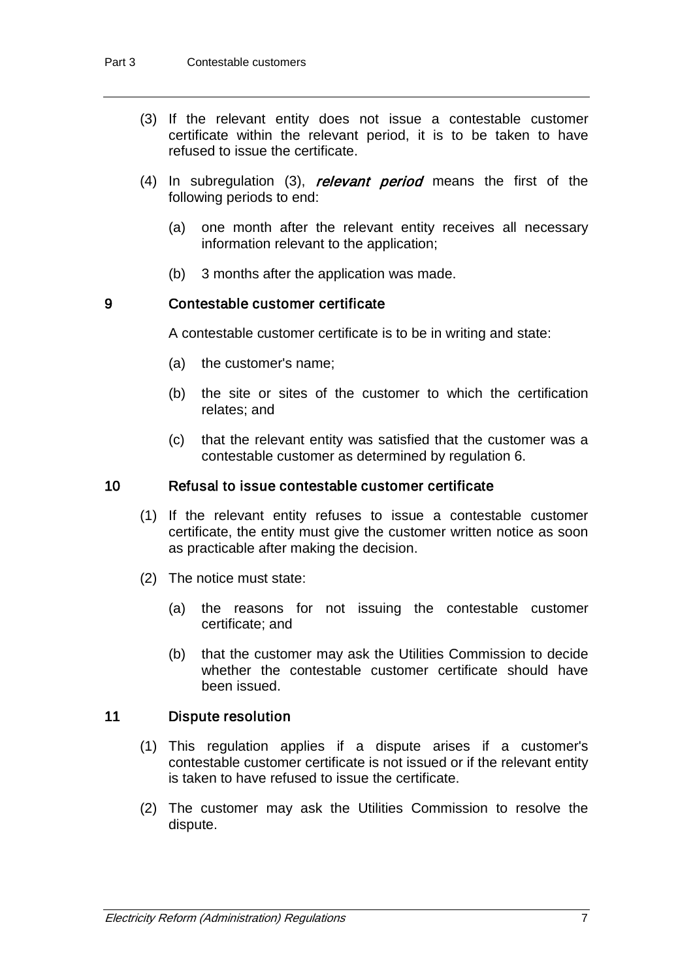- (3) If the relevant entity does not issue a contestable customer certificate within the relevant period, it is to be taken to have refused to issue the certificate.
- (4) In subregulation (3), *relevant period* means the first of the following periods to end:
	- (a) one month after the relevant entity receives all necessary information relevant to the application;
	- (b) 3 months after the application was made.

### 9 Contestable customer certificate

A contestable customer certificate is to be in writing and state:

- (a) the customer's name;
- (b) the site or sites of the customer to which the certification relates; and
- (c) that the relevant entity was satisfied that the customer was a contestable customer as determined by regulation 6.

#### 10 Refusal to issue contestable customer certificate

- (1) If the relevant entity refuses to issue a contestable customer certificate, the entity must give the customer written notice as soon as practicable after making the decision.
- (2) The notice must state:
	- (a) the reasons for not issuing the contestable customer certificate; and
	- (b) that the customer may ask the Utilities Commission to decide whether the contestable customer certificate should have been issued.

#### 11 Dispute resolution

- (1) This regulation applies if a dispute arises if a customer's contestable customer certificate is not issued or if the relevant entity is taken to have refused to issue the certificate.
- (2) The customer may ask the Utilities Commission to resolve the dispute.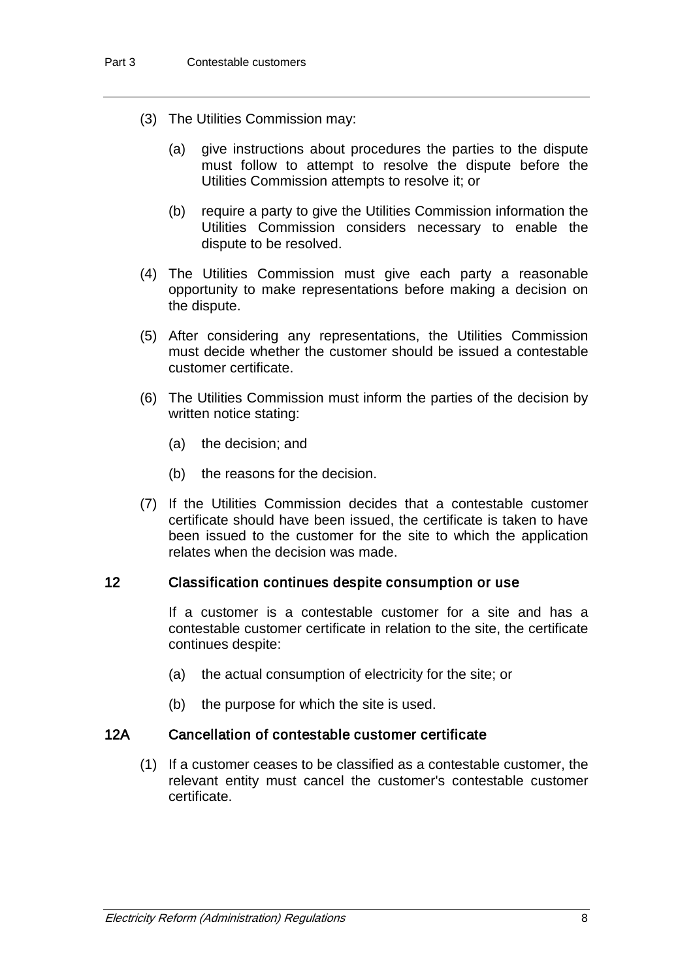- (3) The Utilities Commission may:
	- (a) give instructions about procedures the parties to the dispute must follow to attempt to resolve the dispute before the Utilities Commission attempts to resolve it; or
	- (b) require a party to give the Utilities Commission information the Utilities Commission considers necessary to enable the dispute to be resolved.
- (4) The Utilities Commission must give each party a reasonable opportunity to make representations before making a decision on the dispute.
- (5) After considering any representations, the Utilities Commission must decide whether the customer should be issued a contestable customer certificate.
- (6) The Utilities Commission must inform the parties of the decision by written notice stating:
	- (a) the decision; and
	- (b) the reasons for the decision.
- (7) If the Utilities Commission decides that a contestable customer certificate should have been issued, the certificate is taken to have been issued to the customer for the site to which the application relates when the decision was made.

#### 12 Classification continues despite consumption or use

If a customer is a contestable customer for a site and has a contestable customer certificate in relation to the site, the certificate continues despite:

- (a) the actual consumption of electricity for the site; or
- (b) the purpose for which the site is used.

## 12A Cancellation of contestable customer certificate

(1) If a customer ceases to be classified as a contestable customer, the relevant entity must cancel the customer's contestable customer certificate.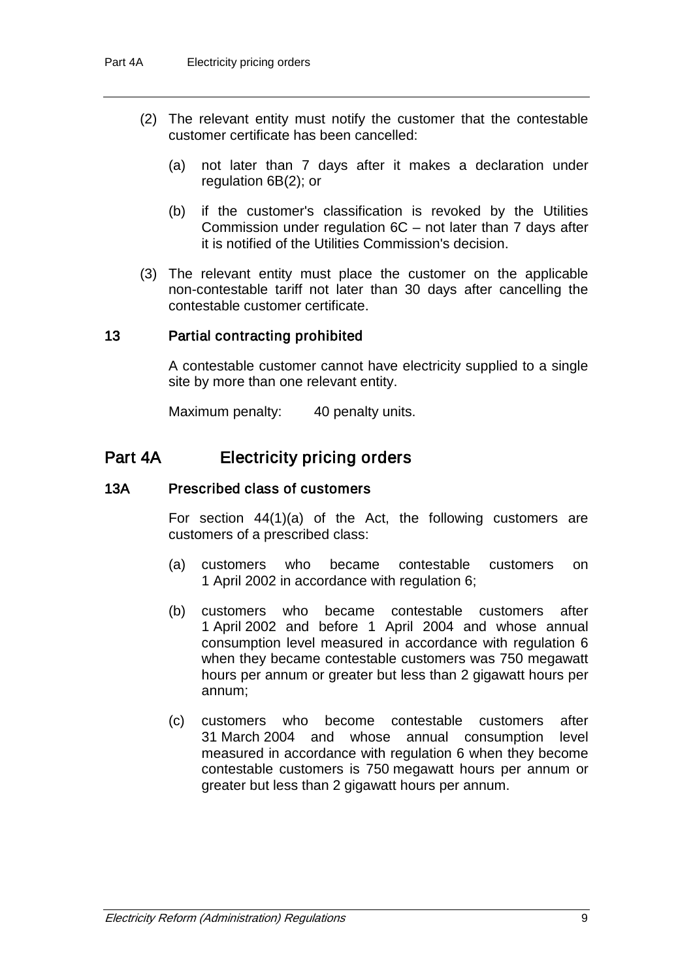- (2) The relevant entity must notify the customer that the contestable customer certificate has been cancelled:
	- (a) not later than 7 days after it makes a declaration under regulation 6B(2); or
	- (b) if the customer's classification is revoked by the Utilities Commission under regulation 6C – not later than 7 days after it is notified of the Utilities Commission's decision.
- (3) The relevant entity must place the customer on the applicable non-contestable tariff not later than 30 days after cancelling the contestable customer certificate.

### 13 Partial contracting prohibited

A contestable customer cannot have electricity supplied to a single site by more than one relevant entity.

Maximum penalty: 40 penalty units.

## Part 4A Electricity pricing orders

#### 13A Prescribed class of customers

For section 44(1)(a) of the Act, the following customers are customers of a prescribed class:

- (a) customers who became contestable customers on 1 April 2002 in accordance with regulation 6;
- (b) customers who became contestable customers after 1 April 2002 and before 1 April 2004 and whose annual consumption level measured in accordance with regulation 6 when they became contestable customers was 750 megawatt hours per annum or greater but less than 2 gigawatt hours per annum;
- (c) customers who become contestable customers after 31 March 2004 and whose annual consumption level measured in accordance with regulation 6 when they become contestable customers is 750 megawatt hours per annum or greater but less than 2 gigawatt hours per annum.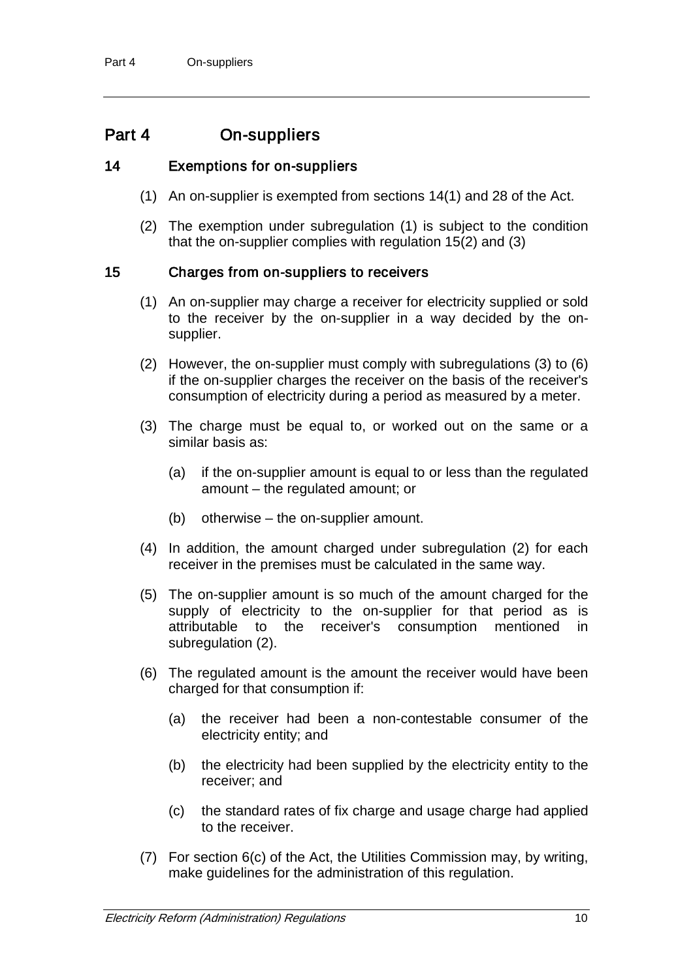## Part 4 On-suppliers

## 14 Exemptions for on-suppliers

- (1) An on-supplier is exempted from sections 14(1) and 28 of the Act.
- (2) The exemption under subregulation (1) is subject to the condition that the on-supplier complies with regulation 15(2) and (3)

## 15 Charges from on-suppliers to receivers

- (1) An on-supplier may charge a receiver for electricity supplied or sold to the receiver by the on-supplier in a way decided by the onsupplier.
- (2) However, the on-supplier must comply with subregulations (3) to (6) if the on-supplier charges the receiver on the basis of the receiver's consumption of electricity during a period as measured by a meter.
- (3) The charge must be equal to, or worked out on the same or a similar basis as:
	- (a) if the on-supplier amount is equal to or less than the regulated amount – the regulated amount; or
	- (b) otherwise the on-supplier amount.
- (4) In addition, the amount charged under subregulation (2) for each receiver in the premises must be calculated in the same way.
- (5) The on-supplier amount is so much of the amount charged for the supply of electricity to the on-supplier for that period as is attributable to the receiver's consumption mentioned in subregulation (2).
- (6) The regulated amount is the amount the receiver would have been charged for that consumption if:
	- (a) the receiver had been a non-contestable consumer of the electricity entity; and
	- (b) the electricity had been supplied by the electricity entity to the receiver; and
	- (c) the standard rates of fix charge and usage charge had applied to the receiver.
- (7) For section 6(c) of the Act, the Utilities Commission may, by writing, make guidelines for the administration of this regulation.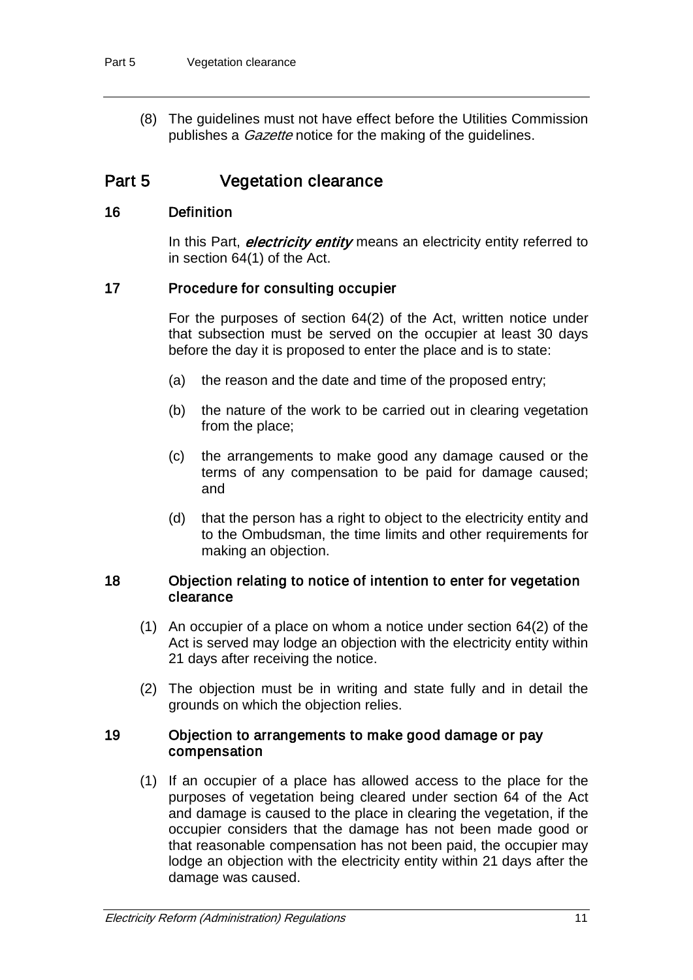(8) The guidelines must not have effect before the Utilities Commission publishes a *Gazette* notice for the making of the quidelines.

## Part 5 **Vegetation clearance**

## 16 Definition

In this Part, *electricity entity* means an electricity entity referred to in section 64(1) of the Act.

## 17 Procedure for consulting occupier

For the purposes of section 64(2) of the Act, written notice under that subsection must be served on the occupier at least 30 days before the day it is proposed to enter the place and is to state:

- (a) the reason and the date and time of the proposed entry;
- (b) the nature of the work to be carried out in clearing vegetation from the place;
- (c) the arrangements to make good any damage caused or the terms of any compensation to be paid for damage caused; and
- (d) that the person has a right to object to the electricity entity and to the Ombudsman, the time limits and other requirements for making an objection.

### 18 Objection relating to notice of intention to enter for vegetation clearance

- (1) An occupier of a place on whom a notice under section 64(2) of the Act is served may lodge an objection with the electricity entity within 21 days after receiving the notice.
- (2) The objection must be in writing and state fully and in detail the grounds on which the objection relies.

## 19 Objection to arrangements to make good damage or pay compensation

(1) If an occupier of a place has allowed access to the place for the purposes of vegetation being cleared under section 64 of the Act and damage is caused to the place in clearing the vegetation, if the occupier considers that the damage has not been made good or that reasonable compensation has not been paid, the occupier may lodge an objection with the electricity entity within 21 days after the damage was caused.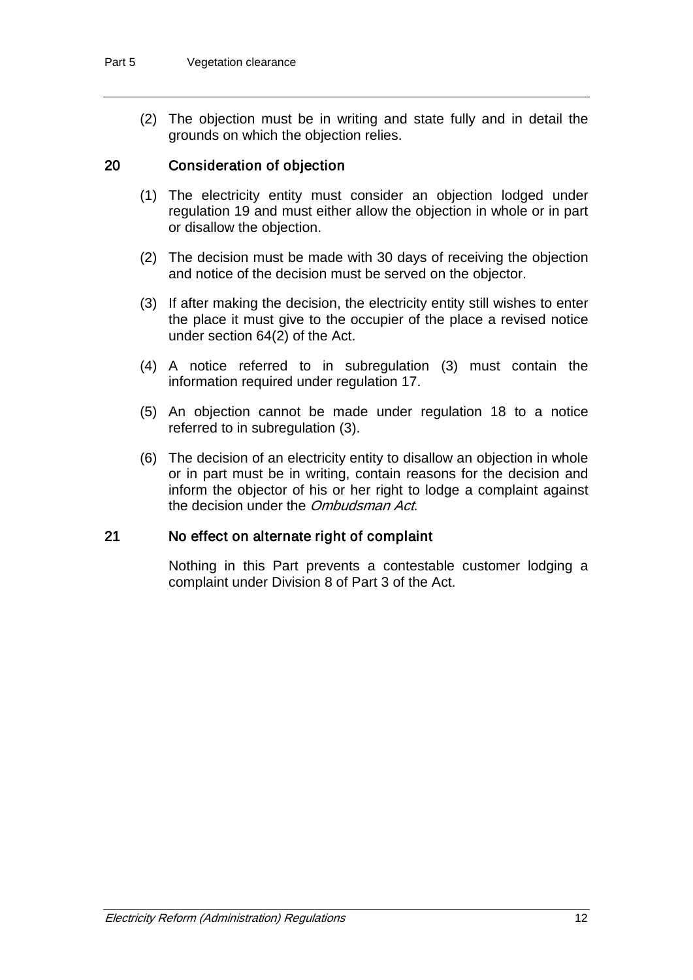(2) The objection must be in writing and state fully and in detail the grounds on which the objection relies.

## 20 Consideration of objection

- (1) The electricity entity must consider an objection lodged under regulation 19 and must either allow the objection in whole or in part or disallow the objection.
- (2) The decision must be made with 30 days of receiving the objection and notice of the decision must be served on the objector.
- (3) If after making the decision, the electricity entity still wishes to enter the place it must give to the occupier of the place a revised notice under section 64(2) of the Act.
- (4) A notice referred to in subregulation (3) must contain the information required under regulation 17.
- (5) An objection cannot be made under regulation 18 to a notice referred to in subregulation (3).
- (6) The decision of an electricity entity to disallow an objection in whole or in part must be in writing, contain reasons for the decision and inform the objector of his or her right to lodge a complaint against the decision under the Ombudsman Act.

### 21 No effect on alternate right of complaint

Nothing in this Part prevents a contestable customer lodging a complaint under Division 8 of Part 3 of the Act.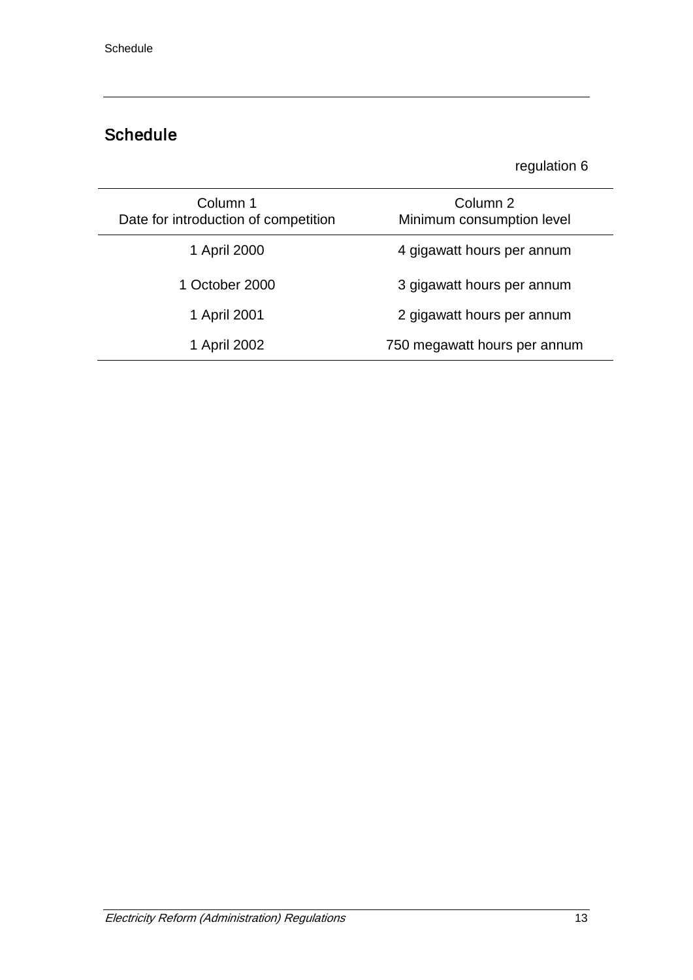# Schedule

## regulation 6

| Column 1<br>Date for introduction of competition | Column 2<br>Minimum consumption level |
|--------------------------------------------------|---------------------------------------|
| 1 April 2000                                     | 4 gigawatt hours per annum            |
| 1 October 2000                                   | 3 gigawatt hours per annum            |
| 1 April 2001                                     | 2 gigawatt hours per annum            |
| 1 April 2002                                     | 750 megawatt hours per annum          |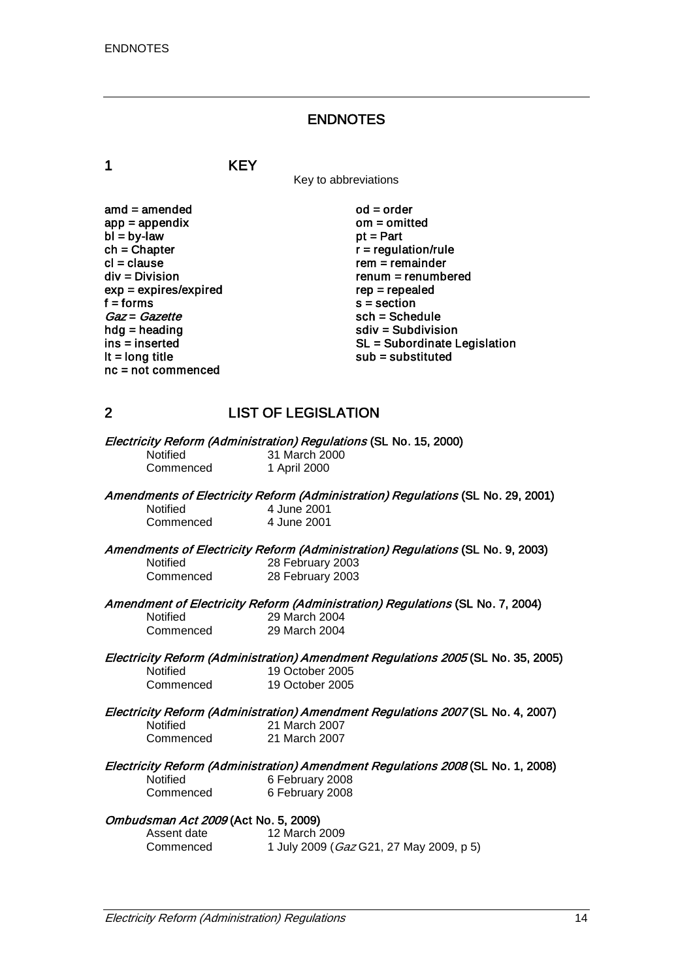## ENDNOTES

1 KEY

Key to abbreviations

| amd = amended           |
|-------------------------|
| $app = appendix$        |
| $bl = by-law$           |
| $ch = Chapter$          |
| cl = clause             |
| div = Division          |
| $exp = expires/expired$ |
| f = forms               |
| Gaz = Gazette           |
| $hdg =$ heading         |
| ins = inserted          |
| It = long title         |
| nc = not commenced      |
|                         |

 $od = order$ om = omitted  $pt = Part$  $r =$  regulation/rule  $rem = remainder$  $renum = renumbered$  $rep = repeated$  $s =$  section sch = Schedule  $sdiv = Subdivision$ SL = Subordinate Legislation  $sub =$ substituted

## 2 LIST OF LEGISLATION

Electricity Reform (Administration) Regulations (SL No. 15, 2000) Notified 31 March 2000<br>Commenced 1 April 2000 1 April 2000

Amendments of Electricity Reform (Administration) Regulations (SL No. 29, 2001)<br>Notified 4 June 2001 4 June 2001<br>4 June 2001

Commenced

Amendments of Electricity Reform (Administration) Regulations (SL No. 9, 2003)<br>Notified 28 February 2003 Notified 28 February 2003<br>Commenced 28 February 2003 28 February 2003

Amendment of Electricity Reform (Administration) Regulations (SL No. 7, 2004)<br>Notified 29 March 2004

Notified 29 March 2004<br>Commenced 29 March 2004 29 March 2004

# Electricity Reform (Administration) Amendment Regulations 2005 (SL No. 35, 2005)<br>Notified 19 October 2005

Notified 19 October 2005<br>Commenced 19 October 2005 19 October 2005

Electricity Reform (Administration) Amendment Regulations 2007 (SL No. 4, 2007) Notified 21 March 2007<br>Commenced 21 March 2007 21 March 2007

Electricity Reform (Administration) Amendment Regulations 2008 (SL No. 1, 2008)<br>Notified 6 February 2008

Notified 6 February 2008<br>Commenced 6 February 2008 6 February 2008

#### Ombudsman Act 2009 (Act No. 5, 2009)

| Assent date | 12 March 2009                                   |
|-------------|-------------------------------------------------|
| Commenced   | 1 July 2009 ( <i>Gaz</i> G21, 27 May 2009, p 5) |